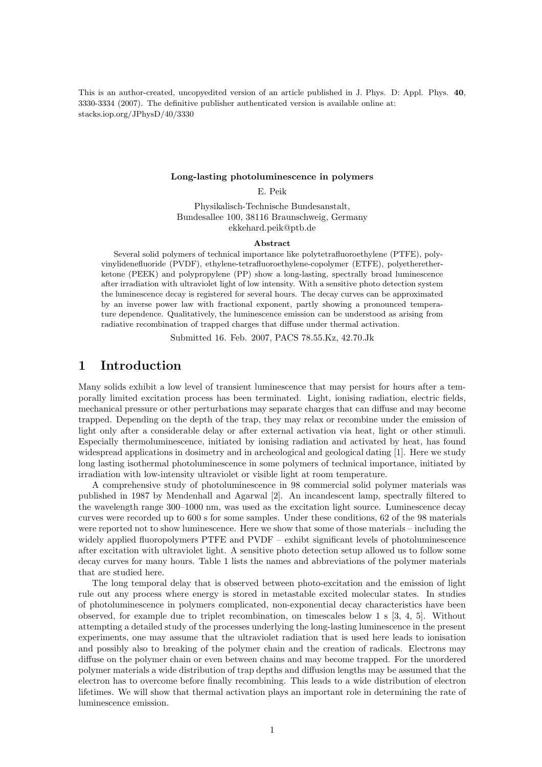This is an author-created, uncopyedited version of an article published in J. Phys. D: Appl. Phys. 40, 3330-3334 (2007). The definitive publisher authenticated version is available online at: stacks.iop.org/JPhysD/40/3330

#### Long-lasting photoluminescence in polymers

E. Peik

Physikalisch-Technische Bundesanstalt, Bundesallee 100, 38116 Braunschweig, Germany ekkehard.peik@ptb.de

#### Abstract

Several solid polymers of technical importance like polytetrafluoroethylene (PTFE), polyvinylidenefluoride (PVDF), ethylene-tetrafluoroethylene-copolymer (ETFE), polyetheretherketone (PEEK) and polypropylene (PP) show a long-lasting, spectrally broad luminescence after irradiation with ultraviolet light of low intensity. With a sensitive photo detection system the luminescence decay is registered for several hours. The decay curves can be approximated by an inverse power law with fractional exponent, partly showing a pronounced temperature dependence. Qualitatively, the luminescence emission can be understood as arising from radiative recombination of trapped charges that diffuse under thermal activation.

Submitted 16. Feb. 2007, PACS 78.55.Kz, 42.70.Jk

## 1 Introduction

Many solids exhibit a low level of transient luminescence that may persist for hours after a temporally limited excitation process has been terminated. Light, ionising radiation, electric fields, mechanical pressure or other perturbations may separate charges that can diffuse and may become trapped. Depending on the depth of the trap, they may relax or recombine under the emission of light only after a considerable delay or after external activation via heat, light or other stimuli. Especially thermoluminescence, initiated by ionising radiation and activated by heat, has found widespread applications in dosimetry and in archeological and geological dating [1]. Here we study long lasting isothermal photoluminescence in some polymers of technical importance, initiated by irradiation with low-intensity ultraviolet or visible light at room temperature.

A comprehensive study of photoluminescence in 98 commercial solid polymer materials was published in 1987 by Mendenhall and Agarwal [2]. An incandescent lamp, spectrally filtered to the wavelength range 300–1000 nm, was used as the excitation light source. Luminescence decay curves were recorded up to 600 s for some samples. Under these conditions, 62 of the 98 materials were reported not to show luminescence. Here we show that some of those materials – including the widely applied fluoropolymers PTFE and PVDF – exhibt significant levels of photoluminescence after excitation with ultraviolet light. A sensitive photo detection setup allowed us to follow some decay curves for many hours. Table 1 lists the names and abbreviations of the polymer materials that are studied here.

The long temporal delay that is observed between photo-excitation and the emission of light rule out any process where energy is stored in metastable excited molecular states. In studies of photoluminescence in polymers complicated, non-exponential decay characteristics have been observed, for example due to triplet recombination, on timescales below 1 s [3, 4, 5]. Without attempting a detailed study of the processes underlying the long-lasting luminescence in the present experiments, one may assume that the ultraviolet radiation that is used here leads to ionisation and possibly also to breaking of the polymer chain and the creation of radicals. Electrons may diffuse on the polymer chain or even between chains and may become trapped. For the unordered polymer materials a wide distribution of trap depths and diffusion lengths may be assumed that the electron has to overcome before finally recombining. This leads to a wide distribution of electron lifetimes. We will show that thermal activation plays an important role in determining the rate of luminescence emission.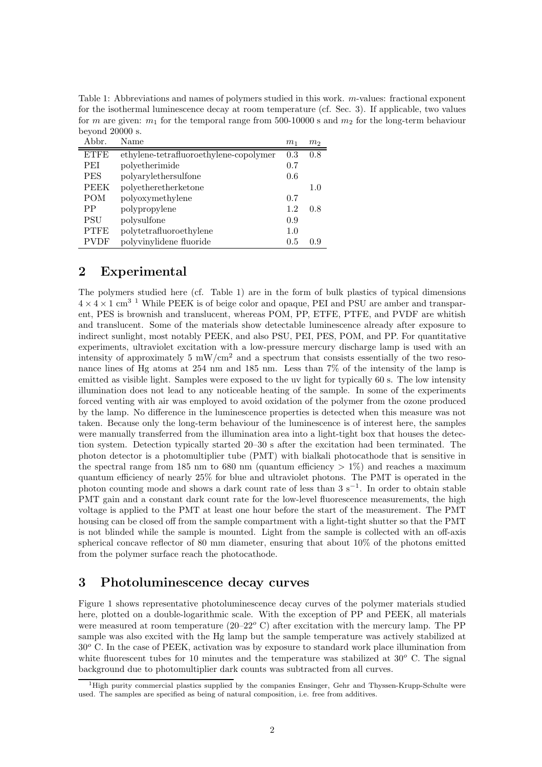Table 1: Abbreviations and names of polymers studied in this work. m-values: fractional exponent for the isothermal luminescence decay at room temperature (cf. Sec. 3). If applicable, two values for m are given:  $m_1$  for the temporal range from 500-10000 s and  $m_2$  for the long-term behaviour beyond 20000 s.

| Abbr.       | Name                                   | m <sub>1</sub> | m <sub>2</sub> |
|-------------|----------------------------------------|----------------|----------------|
| <b>ETFE</b> | ethylene-tetrafluoroethylene-copolymer | 0.3            | 0.8            |
| <b>PEI</b>  | polyetherimide                         | 0.7            |                |
| <b>PES</b>  | polyarylethersulfone                   | 0.6            |                |
| <b>PEEK</b> | polyetheretherketone                   |                | 1.0            |
| POM         | polyoxymethylene                       | 0.7            |                |
| PP          | polypropylene                          | 1.2            | 0.8            |
| <b>PSU</b>  | polysulfone                            | 0.9            |                |
| <b>PTFE</b> | polytetrafluoroethylene                | 1.0            |                |
| <b>PVDF</b> | polyvinylidene fluoride                | 0.5            | 09             |

### 2 Experimental

The polymers studied here (cf. Table 1) are in the form of bulk plastics of typical dimensions  $4 \times 4 \times 1$  cm<sup>3</sup> <sup>1</sup> While PEEK is of beige color and opaque, PEI and PSU are amber and transparent, PES is brownish and translucent, whereas POM, PP, ETFE, PTFE, and PVDF are whitish and translucent. Some of the materials show detectable luminescence already after exposure to indirect sunlight, most notably PEEK, and also PSU, PEI, PES, POM, and PP. For quantitative experiments, ultraviolet excitation with a low-pressure mercury discharge lamp is used with an intensity of approximately 5  $mW/cm<sup>2</sup>$  and a spectrum that consists essentially of the two resonance lines of Hg atoms at 254 nm and 185 nm. Less than 7% of the intensity of the lamp is emitted as visible light. Samples were exposed to the uv light for typically 60 s. The low intensity illumination does not lead to any noticeable heating of the sample. In some of the experiments forced venting with air was employed to avoid oxidation of the polymer from the ozone produced by the lamp. No difference in the luminescence properties is detected when this measure was not taken. Because only the long-term behaviour of the luminescence is of interest here, the samples were manually transferred from the illumination area into a light-tight box that houses the detection system. Detection typically started 20–30 s after the excitation had been terminated. The photon detector is a photomultiplier tube (PMT) with bialkali photocathode that is sensitive in the spectral range from 185 nm to 680 nm (quantum efficiency  $> 1\%$ ) and reaches a maximum quantum efficiency of nearly 25% for blue and ultraviolet photons. The PMT is operated in the photon counting mode and shows a dark count rate of less than  $3 \text{ s}^{-1}$ . In order to obtain stable PMT gain and a constant dark count rate for the low-level fluorescence measurements, the high voltage is applied to the PMT at least one hour before the start of the measurement. The PMT housing can be closed off from the sample compartment with a light-tight shutter so that the PMT is not blinded while the sample is mounted. Light from the sample is collected with an off-axis spherical concave reflector of 80 mm diameter, ensuring that about 10% of the photons emitted from the polymer surface reach the photocathode.

# 3 Photoluminescence decay curves

Figure 1 shows representative photoluminescence decay curves of the polymer materials studied here, plotted on a double-logarithmic scale. With the exception of PP and PEEK, all materials were measured at room temperature (20–22 $\degree$  C) after excitation with the mercury lamp. The PP sample was also excited with the Hg lamp but the sample temperature was actively stabilized at  $30<sup>o</sup>$  C. In the case of PEEK, activation was by exposure to standard work place illumination from white fluorescent tubes for 10 minutes and the temperature was stabilized at  $30^{\circ}$  C. The signal background due to photomultiplier dark counts was subtracted from all curves.

<sup>1</sup>High purity commercial plastics supplied by the companies Ensinger, Gehr and Thyssen-Krupp-Schulte were used. The samples are specified as being of natural composition, i.e. free from additives.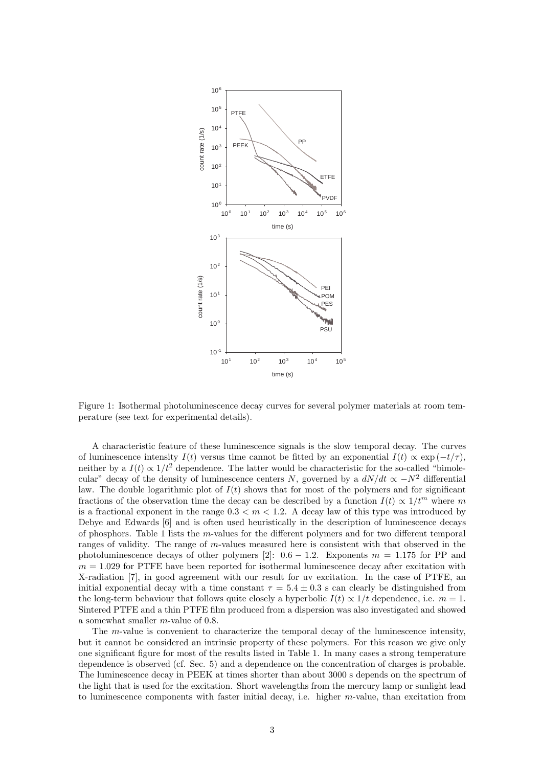

Figure 1: Isothermal photoluminescence decay curves for several polymer materials at room temperature (see text for experimental details).

A characteristic feature of these luminescence signals is the slow temporal decay. The curves of luminescence intensity  $I(t)$  versus time cannot be fitted by an exponential  $I(t) \propto \exp(-t/\tau)$ , neither by a  $I(t) \propto 1/t^2$  dependence. The latter would be characteristic for the so-called "bimolecular" decay of the density of luminescence centers N, governed by a  $dN/dt \propto -N^2$  differential law. The double logarithmic plot of  $I(t)$  shows that for most of the polymers and for significant fractions of the observation time the decay can be described by a function  $I(t) \propto 1/t^m$  where m is a fractional exponent in the range  $0.3 < m < 1.2$ . A decay law of this type was introduced by Debye and Edwards [6] and is often used heuristically in the description of luminescence decays of phosphors. Table 1 lists the m-values for the different polymers and for two different temporal ranges of validity. The range of m-values measured here is consistent with that observed in the photoluminescence decays of other polymers [2]:  $0.6 - 1.2$ . Exponents  $m = 1.175$  for PP and  $m = 1.029$  for PTFE have been reported for isothermal luminescence decay after excitation with X-radiation [7], in good agreement with our result for uv excitation. In the case of PTFE, an initial exponential decay with a time constant  $\tau = 5.4 \pm 0.3$  s can clearly be distinguished from the long-term behaviour that follows quite closely a hyperbolic  $I(t) \propto 1/t$  dependence, i.e.  $m = 1$ . Sintered PTFE and a thin PTFE film produced from a dispersion was also investigated and showed a somewhat smaller m-value of 0.8.

The m-value is convenient to characterize the temporal decay of the luminescence intensity, but it cannot be considered an intrinsic property of these polymers. For this reason we give only one significant figure for most of the results listed in Table 1. In many cases a strong temperature dependence is observed (cf. Sec. 5) and a dependence on the concentration of charges is probable. The luminescence decay in PEEK at times shorter than about 3000 s depends on the spectrum of the light that is used for the excitation. Short wavelengths from the mercury lamp or sunlight lead to luminescence components with faster initial decay, i.e. higher  $m$ -value, than excitation from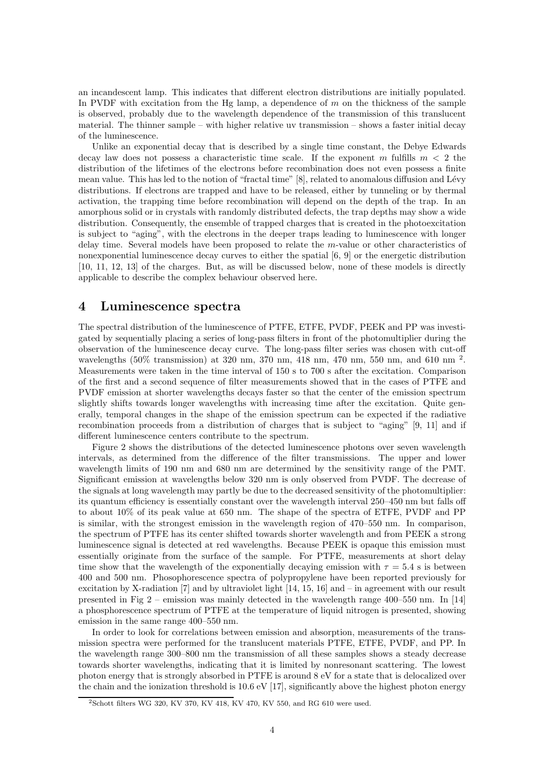an incandescent lamp. This indicates that different electron distributions are initially populated. In PVDF with excitation from the Hg lamp, a dependence of  $m$  on the thickness of the sample is observed, probably due to the wavelength dependence of the transmission of this translucent material. The thinner sample – with higher relative uv transmission – shows a faster initial decay of the luminescence.

Unlike an exponential decay that is described by a single time constant, the Debye Edwards decay law does not possess a characteristic time scale. If the exponent m fulfills  $m < 2$  the distribution of the lifetimes of the electrons before recombination does not even possess a finite mean value. This has led to the notion of "fractal time" [8], related to anomalous diffusion and Lévy distributions. If electrons are trapped and have to be released, either by tunneling or by thermal activation, the trapping time before recombination will depend on the depth of the trap. In an amorphous solid or in crystals with randomly distributed defects, the trap depths may show a wide distribution. Consequently, the ensemble of trapped charges that is created in the photoexcitation is subject to "aging", with the electrons in the deeper traps leading to luminescence with longer delay time. Several models have been proposed to relate the m-value or other characteristics of nonexponential luminescence decay curves to either the spatial [6, 9] or the energetic distribution [10, 11, 12, 13] of the charges. But, as will be discussed below, none of these models is directly applicable to describe the complex behaviour observed here.

### 4 Luminescence spectra

The spectral distribution of the luminescence of PTFE, ETFE, PVDF, PEEK and PP was investigated by sequentially placing a series of long-pass filters in front of the photomultiplier during the observation of the luminescence decay curve. The long-pass filter series was chosen with cut-off wavelengths (50% transmission) at 320 nm, 370 nm, 418 nm, 470 nm, 550 nm, and 610 nm<sup>2</sup>. Measurements were taken in the time interval of 150 s to 700 s after the excitation. Comparison of the first and a second sequence of filter measurements showed that in the cases of PTFE and PVDF emission at shorter wavelengths decays faster so that the center of the emission spectrum slightly shifts towards longer wavelengths with increasing time after the excitation. Quite generally, temporal changes in the shape of the emission spectrum can be expected if the radiative recombination proceeds from a distribution of charges that is subject to "aging" [9, 11] and if different luminescence centers contribute to the spectrum.

Figure 2 shows the distributions of the detected luminescence photons over seven wavelength intervals, as determined from the difference of the filter transmissions. The upper and lower wavelength limits of 190 nm and 680 nm are determined by the sensitivity range of the PMT. Significant emission at wavelengths below 320 nm is only observed from PVDF. The decrease of the signals at long wavelength may partly be due to the decreased sensitivity of the photomultiplier: its quantum efficiency is essentially constant over the wavelength interval 250–450 nm but falls off to about 10% of its peak value at 650 nm. The shape of the spectra of ETFE, PVDF and PP is similar, with the strongest emission in the wavelength region of 470–550 nm. In comparison, the spectrum of PTFE has its center shifted towards shorter wavelength and from PEEK a strong luminescence signal is detected at red wavelengths. Because PEEK is opaque this emission must essentially originate from the surface of the sample. For PTFE, measurements at short delay time show that the wavelength of the exponentially decaying emission with  $\tau = 5.4$  s is between 400 and 500 nm. Phosophorescence spectra of polypropylene have been reported previously for excitation by X-radiation [7] and by ultraviolet light [14, 15, 16] and – in agreement with our result presented in Fig 2 – emission was mainly detected in the wavelength range  $400-550$  nm. In [14] a phosphorescence spectrum of PTFE at the temperature of liquid nitrogen is presented, showing emission in the same range 400–550 nm.

In order to look for correlations between emission and absorption, measurements of the transmission spectra were performed for the translucent materials PTFE, ETFE, PVDF, and PP. In the wavelength range 300–800 nm the transmission of all these samples shows a steady decrease towards shorter wavelengths, indicating that it is limited by nonresonant scattering. The lowest photon energy that is strongly absorbed in PTFE is around 8 eV for a state that is delocalized over the chain and the ionization threshold is  $10.6 \text{ eV } [17]$ , significantly above the highest photon energy

<sup>2</sup>Schott filters WG 320, KV 370, KV 418, KV 470, KV 550, and RG 610 were used.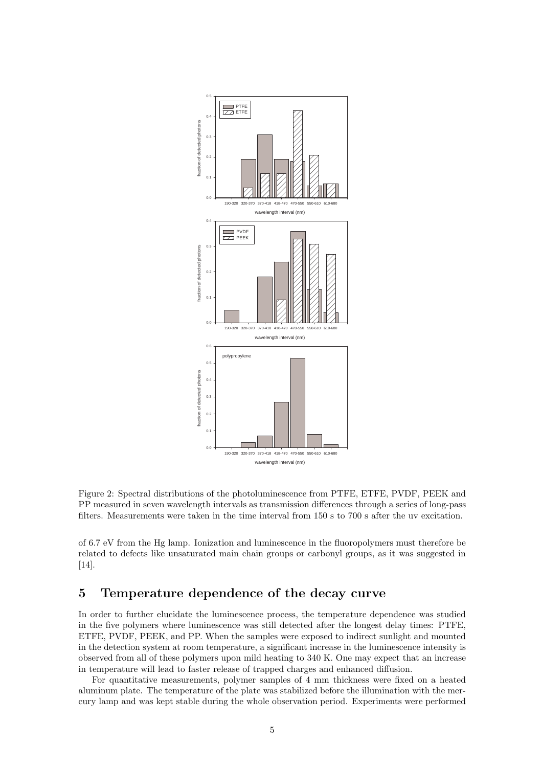

Figure 2: Spectral distributions of the photoluminescence from PTFE, ETFE, PVDF, PEEK and PP measured in seven wavelength intervals as transmission differences through a series of long-pass filters. Measurements were taken in the time interval from 150 s to 700 s after the uv excitation.

of 6.7 eV from the Hg lamp. Ionization and luminescence in the fluoropolymers must therefore be related to defects like unsaturated main chain groups or carbonyl groups, as it was suggested in [14].

# 5 Temperature dependence of the decay curve

In order to further elucidate the luminescence process, the temperature dependence was studied in the five polymers where luminescence was still detected after the longest delay times: PTFE, ETFE, PVDF, PEEK, and PP. When the samples were exposed to indirect sunlight and mounted in the detection system at room temperature, a significant increase in the luminescence intensity is observed from all of these polymers upon mild heating to 340 K. One may expect that an increase in temperature will lead to faster release of trapped charges and enhanced diffusion.

For quantitative measurements, polymer samples of 4 mm thickness were fixed on a heated aluminum plate. The temperature of the plate was stabilized before the illumination with the mercury lamp and was kept stable during the whole observation period. Experiments were performed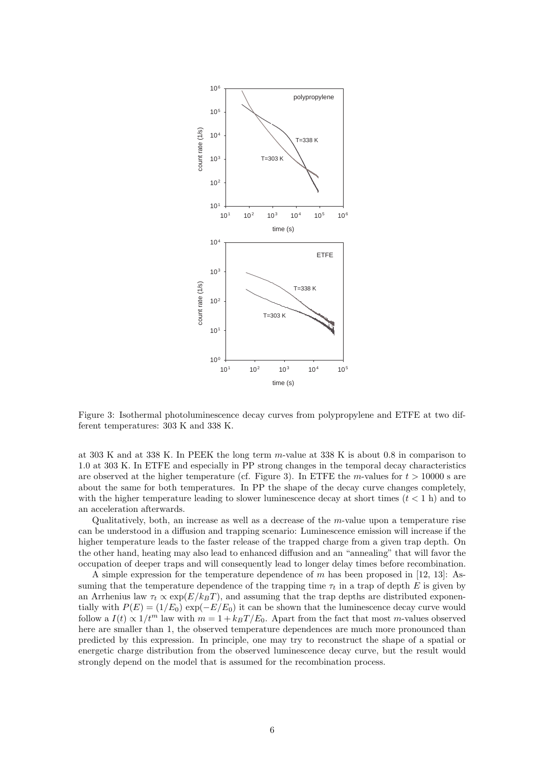

Figure 3: Isothermal photoluminescence decay curves from polypropylene and ETFE at two different temperatures: 303 K and 338 K.

at 303 K and at 338 K. In PEEK the long term m-value at 338 K is about 0.8 in comparison to 1.0 at 303 K. In ETFE and especially in PP strong changes in the temporal decay characteristics are observed at the higher temperature (cf. Figure 3). In ETFE the m-values for  $t > 10000$  s are about the same for both temperatures. In PP the shape of the decay curve changes completely, with the higher temperature leading to slower luminescence decay at short times  $(t < 1 h)$  and to an acceleration afterwards.

Qualitatively, both, an increase as well as a decrease of the m-value upon a temperature rise can be understood in a diffusion and trapping scenario: Luminescence emission will increase if the higher temperature leads to the faster release of the trapped charge from a given trap depth. On the other hand, heating may also lead to enhanced diffusion and an "annealing" that will favor the occupation of deeper traps and will consequently lead to longer delay times before recombination.

A simple expression for the temperature dependence of m has been proposed in [12, 13]: Assuming that the temperature dependence of the trapping time  $\tau_t$  in a trap of depth E is given by an Arrhenius law  $\tau_t \propto \exp(E/k_BT)$ , and assuming that the trap depths are distributed exponentially with  $P(E) = (1/E_0) \exp(-E/E_0)$  it can be shown that the luminescence decay curve would follow a  $I(t) \propto 1/t^m$  law with  $m = 1 + k_BT/E_0$ . Apart from the fact that most m-values observed here are smaller than 1, the observed temperature dependences are much more pronounced than predicted by this expression. In principle, one may try to reconstruct the shape of a spatial or energetic charge distribution from the observed luminescence decay curve, but the result would strongly depend on the model that is assumed for the recombination process.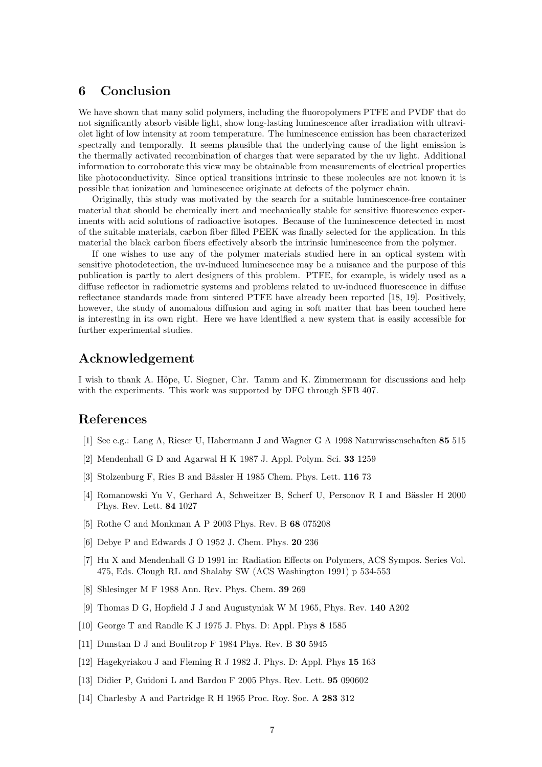## 6 Conclusion

We have shown that many solid polymers, including the fluoropolymers PTFE and PVDF that do not significantly absorb visible light, show long-lasting luminescence after irradiation with ultraviolet light of low intensity at room temperature. The luminescence emission has been characterized spectrally and temporally. It seems plausible that the underlying cause of the light emission is the thermally activated recombination of charges that were separated by the uv light. Additional information to corroborate this view may be obtainable from measurements of electrical properties like photoconductivity. Since optical transitions intrinsic to these molecules are not known it is possible that ionization and luminescence originate at defects of the polymer chain.

Originally, this study was motivated by the search for a suitable luminescence-free container material that should be chemically inert and mechanically stable for sensitive fluorescence experiments with acid solutions of radioactive isotopes. Because of the luminescence detected in most of the suitable materials, carbon fiber filled PEEK was finally selected for the application. In this material the black carbon fibers effectively absorb the intrinsic luminescence from the polymer.

If one wishes to use any of the polymer materials studied here in an optical system with sensitive photodetection, the uv-induced luminescence may be a nuisance and the purpose of this publication is partly to alert designers of this problem. PTFE, for example, is widely used as a diffuse reflector in radiometric systems and problems related to uv-induced fluorescence in diffuse reflectance standards made from sintered PTFE have already been reported [18, 19]. Positively, however, the study of anomalous diffusion and aging in soft matter that has been touched here is interesting in its own right. Here we have identified a new system that is easily accessible for further experimental studies.

## Acknowledgement

I wish to thank A. Höpe, U. Siegner, Chr. Tamm and K. Zimmermann for discussions and help with the experiments. This work was supported by DFG through SFB 407.

## References

- [1] See e.g.: Lang A, Rieser U, Habermann J and Wagner G A 1998 Naturwissenschaften 85 515
- [2] Mendenhall G D and Agarwal H K 1987 J. Appl. Polym. Sci. 33 1259
- [3] Stolzenburg F, Ries B and Bässler H 1985 Chem. Phys. Lett. 116 73
- [4] Romanowski Yu V, Gerhard A, Schweitzer B, Scherf U, Personov R I and Bässler H 2000 Phys. Rev. Lett. 84 1027
- [5] Rothe C and Monkman A P 2003 Phys. Rev. B 68 075208
- [6] Debye P and Edwards J O 1952 J. Chem. Phys. 20 236
- [7] Hu X and Mendenhall G D 1991 in: Radiation Effects on Polymers, ACS Sympos. Series Vol. 475, Eds. Clough RL and Shalaby SW (ACS Washington 1991) p 534-553
- [8] Shlesinger M F 1988 Ann. Rev. Phys. Chem. 39 269
- [9] Thomas D G, Hopfield J J and Augustyniak W M 1965, Phys. Rev. 140 A202
- [10] George T and Randle K J 1975 J. Phys. D: Appl. Phys 8 1585
- [11] Dunstan D J and Boulitrop F 1984 Phys. Rev. B 30 5945
- [12] Hagekyriakou J and Fleming R J 1982 J. Phys. D: Appl. Phys 15 163
- [13] Didier P, Guidoni L and Bardou F 2005 Phys. Rev. Lett. 95 090602
- [14] Charlesby A and Partridge R H 1965 Proc. Roy. Soc. A 283 312